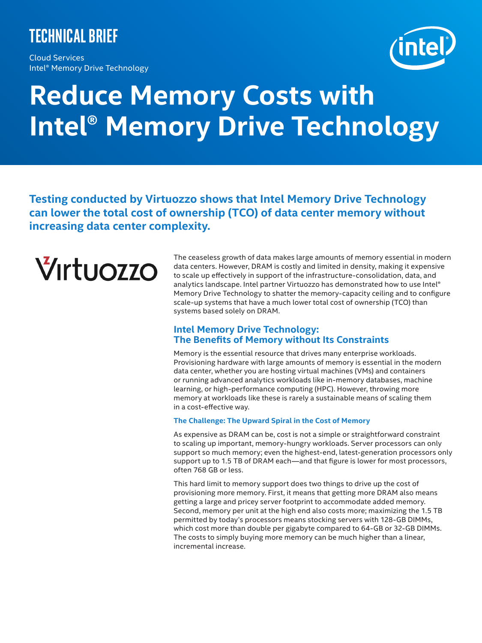# **Technical brief**

Cloud Services Intel® Memory Drive Technology



# **Reduce Memory Costs with Intel® Memory Drive Technology**

**Testing conducted by Virtuozzo shows that Intel Memory Drive Technology can lower the total cost of ownership (TCO) of data center memory without increasing data center complexity.**



The ceaseless growth of data makes large amounts of memory essential in modern data centers. However, DRAM is costly and limited in density, making it expensive to scale up effectively in support of the infrastructure-consolidation, data, and analytics landscape. Intel partner Virtuozzo has demonstrated how to use Intel® Memory Drive Technology to shatter the memory-capacity ceiling and to configure scale-up systems that have a much lower total cost of ownership (TCO) than systems based solely on DRAM.

# **Intel Memory Drive Technology: The Benefits of Memory without Its Constraints**

Memory is the essential resource that drives many enterprise workloads. Provisioning hardware with large amounts of memory is essential in the modern data center, whether you are hosting virtual machines (VMs) and containers or running advanced analytics workloads like in-memory databases, machine learning, or high-performance computing (HPC). However, throwing more memory at workloads like these is rarely a sustainable means of scaling them in a cost-effective way.

#### **The Challenge: The Upward Spiral in the Cost of Memory**

As expensive as DRAM can be, cost is not a simple or straightforward constraint to scaling up important, memory-hungry workloads. Server processors can only support so much memory; even the highest-end, latest-generation processors only support up to 1.5 TB of DRAM each—and that figure is lower for most processors, often 768 GB or less.

This hard limit to memory support does two things to drive up the cost of provisioning more memory. First, it means that getting more DRAM also means getting a large and pricey server footprint to accommodate added memory. Second, memory per unit at the high end also costs more; maximizing the 1.5 TB permitted by today's processors means stocking servers with 128-GB DIMMs, which cost more than double per gigabyte compared to 64-GB or 32-GB DIMMs. The costs to simply buying more memory can be much higher than a linear, incremental increase.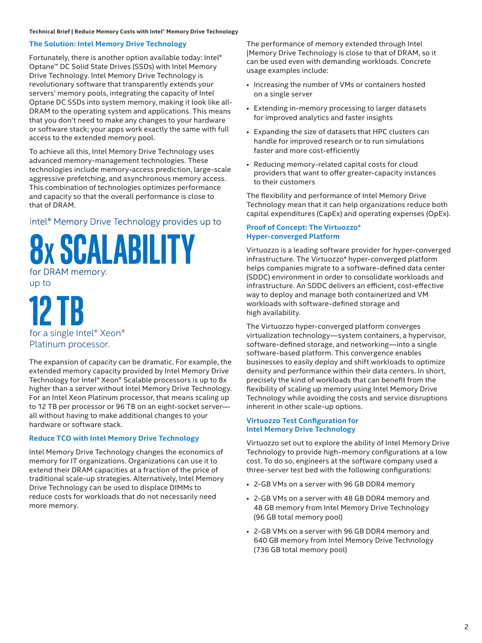#### **Technical Brief | Reduce Memory Costs with Intel® Memory Drive Technology**

# **The Solution: Intel Memory Drive Technology**

Fortunately, there is another option available today: Intel® Optane™ DC Solid State Drives (SSDs) with Intel Memory Drive Technology. Intel Memory Drive Technology is revolutionary software that transparently extends your servers' memory pools, integrating the capacity of Intel Optane DC SSDs into system memory, making it look like all-DRAM to the operating system and applications. This means that you don't need to make any changes to your hardware or software stack; your apps work exactly the same with full access to the extended memory pool.

To achieve all this, Intel Memory Drive Technology uses advanced memory-management technologies. These technologies include memory-access prediction, large-scale aggressive prefetching, and asynchronous memory access. This combination of technologies optimizes performance and capacity so that the overall performance is close to that of DRAM.

Intel<sup>®</sup> Memory Drive Technology provides up to

SCALABILITY for DRAM memory:

up to

**12 Tb**  for a single Intel® Xeon® Platinum processor.

The expansion of capacity can be dramatic. For example, the extended memory capacity provided by Intel Memory Drive Technology for Intel® Xeon® Scalable processors is up to 8x higher than a server without Intel Memory Drive Technology. For an Intel Xeon Platinum processor, that means scaling up to 12 TB per processor or 96 TB on an eight-socket server all without having to make additional changes to your hardware or software stack.

## **Reduce TCO with Intel Memory Drive Technology**

Intel Memory Drive Technology changes the economics of memory for IT organizations. Organizations can use it to extend their DRAM capacities at a fraction of the price of traditional scale-up strategies. Alternatively, Intel Memory Drive Technology can be used to displace DIMMs to reduce costs for workloads that do not necessarily need more memory.

The performance of memory extended through Intel |Memory Drive Technology is close to that of DRAM, so it can be used even with demanding workloads. Concrete usage examples include:

- Increasing the number of VMs or containers hosted on a single server
- Extending in-memory processing to larger datasets for improved analytics and faster insights
- Expanding the size of datasets that HPC clusters can handle for improved research or to run simulations faster and more cost-efficiently
- Reducing memory-related capital costs for cloud providers that want to offer greater-capacity instances to their customers

The flexibility and performance of Intel Memory Drive Technology mean that it can help organizations reduce both capital expenditures (CapEx) and operating expenses (OpEx).

#### **Proof of Concept: The Virtuozzo\* Hyper-converged Platform**

Virtuozzo is a leading software provider for hyper-converged infrastructure. The Virtuozzo\* hyper-converged platform helps companies migrate to a software-defined data center (SDDC) environment in order to consolidate workloads and infrastructure. An SDDC delivers an efficient, cost-effective way to deploy and manage both containerized and VM workloads with software-defined storage and high availability.

The Virtuozzo hyper-converged platform converges virtualization technology—system containers, a hypervisor, software-defined storage, and networking—into a single software-based platform. This convergence enables businesses to easily deploy and shift workloads to optimize density and performance within their data centers. In short, precisely the kind of workloads that can benefit from the flexibility of scaling up memory using Intel Memory Drive Technology while avoiding the costs and service disruptions inherent in other scale-up options.

## **Virtuozzo Test Configuration for Intel Memory Drive Technology**

Virtuozzo set out to explore the ability of Intel Memory Drive Technology to provide high-memory configurations at a low cost. To do so, engineers at the software company used a three-server test bed with the following configurations:

- 2-GB VMs on a server with 96 GB DDR4 memory
- 2-GB VMs on a server with 48 GB DDR4 memory and 48 GB memory from Intel Memory Drive Technology (96 GB total memory pool)
- 2-GB VMs on a server with 96 GB DDR4 memory and 640 GB memory from Intel Memory Drive Technology (736 GB total memory pool)